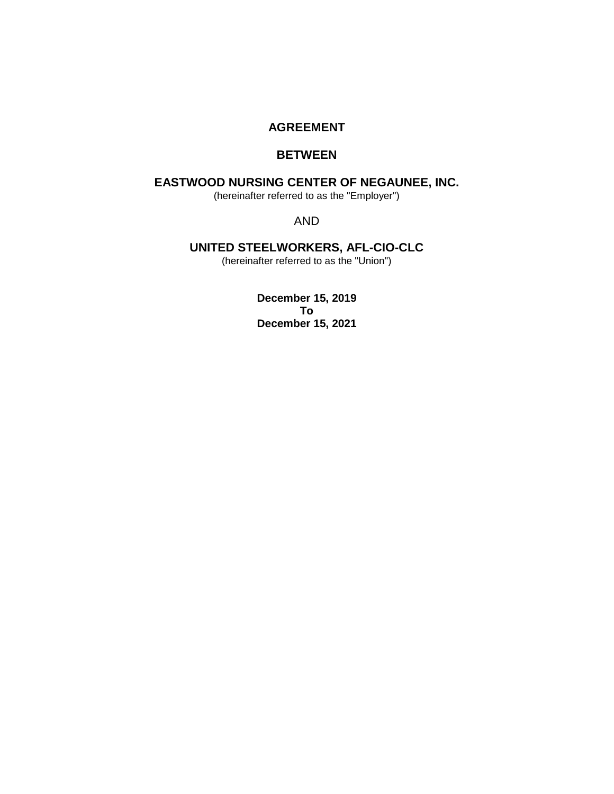# **AGREEMENT**

# **BETWEEN**

# **EASTWOOD NURSING CENTER OF NEGAUNEE, INC.**

(hereinafter referred to as the "Employer")

AND

# **UNITED STEELWORKERS, AFL-CIO-CLC**

(hereinafter referred to as the "Union")

**December 15, 2019 To December 15, 2021**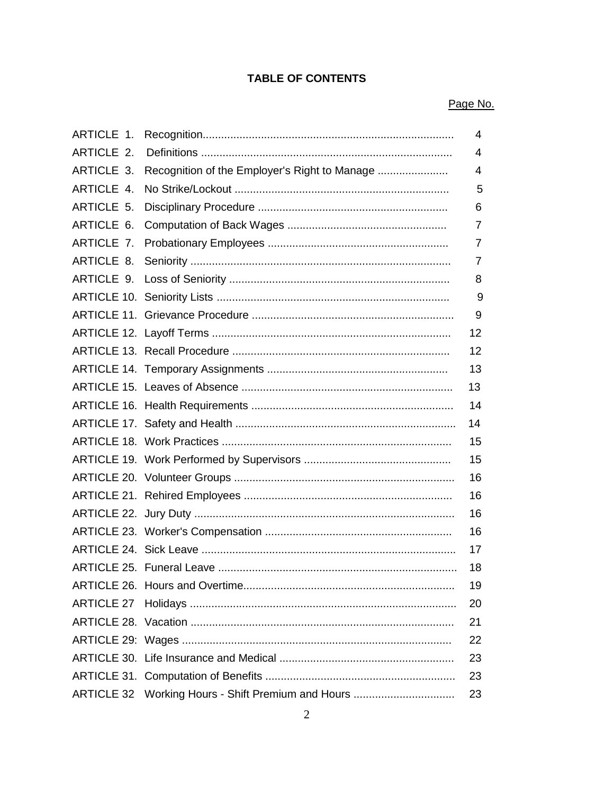# **TABLE OF CONTENTS**

# Page No.

| ARTICLE 1. |                                               | 4              |
|------------|-----------------------------------------------|----------------|
| ARTICLE 2. |                                               | $\overline{4}$ |
| ARTICLE 3. | Recognition of the Employer's Right to Manage | 4              |
| ARTICLE 4. |                                               | 5              |
| ARTICLE 5. |                                               | 6              |
| ARTICLE 6. |                                               | 7              |
| ARTICLE 7. |                                               | 7              |
| ARTICLE 8. |                                               | 7              |
|            |                                               | 8              |
|            |                                               | 9              |
|            |                                               | 9              |
|            |                                               | 12             |
|            |                                               | 12             |
|            |                                               | 13             |
|            |                                               | 13             |
|            |                                               | 14             |
|            |                                               | 14             |
|            |                                               | 15             |
|            |                                               | 15             |
|            |                                               | 16             |
|            |                                               | 16             |
|            |                                               | 16             |
|            |                                               | 16             |
|            |                                               | 17             |
|            |                                               | 18             |
|            |                                               | 19             |
|            |                                               | 20             |
|            |                                               | 21             |
|            |                                               | 22             |
|            |                                               | 23             |
|            |                                               | 23             |
|            |                                               | 23             |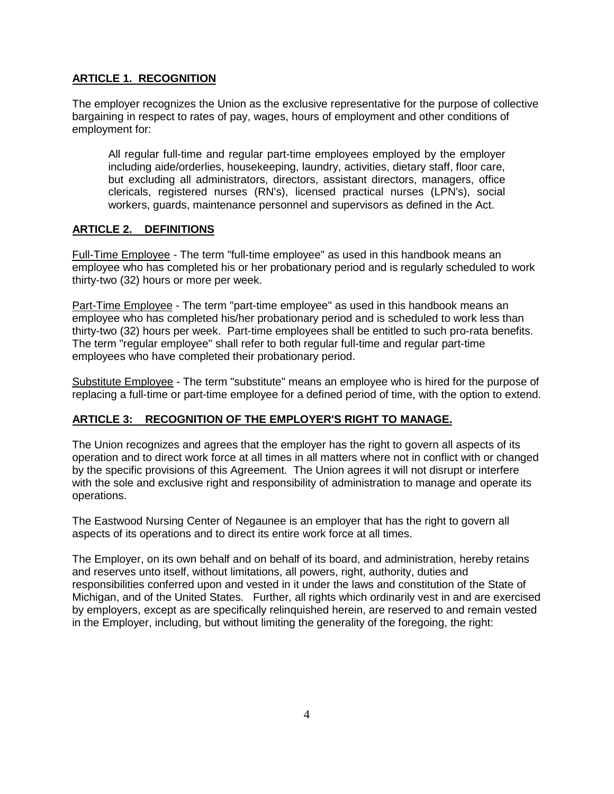# **ARTICLE 1. RECOGNITION**

The employer recognizes the Union as the exclusive representative for the purpose of collective bargaining in respect to rates of pay, wages, hours of employment and other conditions of employment for:

All regular full-time and regular part-time employees employed by the employer including aide/orderlies, housekeeping, laundry, activities, dietary staff, floor care, but excluding all administrators, directors, assistant directors, managers, office clericals, registered nurses (RN's), licensed practical nurses (LPN's), social workers, guards, maintenance personnel and supervisors as defined in the Act.

# **ARTICLE 2. DEFINITIONS**

Full-Time Employee - The term "full-time employee" as used in this handbook means an employee who has completed his or her probationary period and is regularly scheduled to work thirty-two (32) hours or more per week.

Part-Time Employee - The term "part-time employee" as used in this handbook means an employee who has completed his/her probationary period and is scheduled to work less than thirty-two (32) hours per week. Part-time employees shall be entitled to such pro-rata benefits. The term "regular employee" shall refer to both regular full-time and regular part-time employees who have completed their probationary period.

Substitute Employee - The term "substitute" means an employee who is hired for the purpose of replacing a full-time or part-time employee for a defined period of time, with the option to extend.

# **ARTICLE 3: RECOGNITION OF THE EMPLOYER'S RIGHT TO MANAGE.**

The Union recognizes and agrees that the employer has the right to govern all aspects of its operation and to direct work force at all times in all matters where not in conflict with or changed by the specific provisions of this Agreement. The Union agrees it will not disrupt or interfere with the sole and exclusive right and responsibility of administration to manage and operate its operations.

The Eastwood Nursing Center of Negaunee is an employer that has the right to govern all aspects of its operations and to direct its entire work force at all times.

The Employer, on its own behalf and on behalf of its board, and administration, hereby retains and reserves unto itself, without limitations, all powers, right, authority, duties and responsibilities conferred upon and vested in it under the laws and constitution of the State of Michigan, and of the United States. Further, all rights which ordinarily vest in and are exercised by employers, except as are specifically relinquished herein, are reserved to and remain vested in the Employer, including, but without limiting the generality of the foregoing, the right: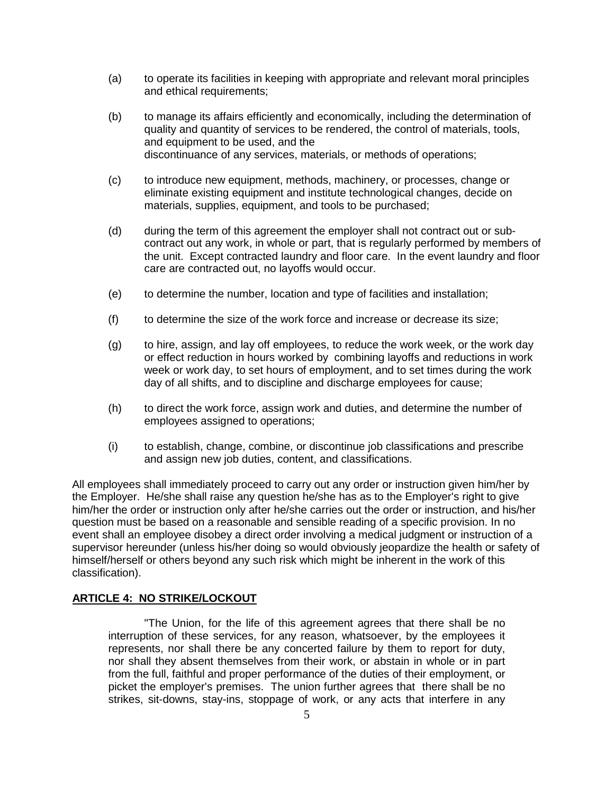- (a) to operate its facilities in keeping with appropriate and relevant moral principles and ethical requirements;
- (b) to manage its affairs efficiently and economically, including the determination of quality and quantity of services to be rendered, the control of materials, tools, and equipment to be used, and the discontinuance of any services, materials, or methods of operations;
- (c) to introduce new equipment, methods, machinery, or processes, change or eliminate existing equipment and institute technological changes, decide on materials, supplies, equipment, and tools to be purchased;
- (d) during the term of this agreement the employer shall not contract out or subcontract out any work, in whole or part, that is regularly performed by members of the unit. Except contracted laundry and floor care. In the event laundry and floor care are contracted out, no layoffs would occur.
- (e) to determine the number, location and type of facilities and installation;
- (f) to determine the size of the work force and increase or decrease its size;
- (g) to hire, assign, and lay off employees, to reduce the work week, or the work day or effect reduction in hours worked by combining layoffs and reductions in work week or work day, to set hours of employment, and to set times during the work day of all shifts, and to discipline and discharge employees for cause;
- (h) to direct the work force, assign work and duties, and determine the number of employees assigned to operations;
- (i) to establish, change, combine, or discontinue job classifications and prescribe and assign new job duties, content, and classifications.

All employees shall immediately proceed to carry out any order or instruction given him/her by the Employer. He/she shall raise any question he/she has as to the Employer's right to give him/her the order or instruction only after he/she carries out the order or instruction, and his/her question must be based on a reasonable and sensible reading of a specific provision. In no event shall an employee disobey a direct order involving a medical judgment or instruction of a supervisor hereunder (unless his/her doing so would obviously jeopardize the health or safety of himself/herself or others beyond any such risk which might be inherent in the work of this classification).

### **ARTICLE 4: NO STRIKE/LOCKOUT**

"The Union, for the life of this agreement agrees that there shall be no interruption of these services, for any reason, whatsoever, by the employees it represents, nor shall there be any concerted failure by them to report for duty, nor shall they absent themselves from their work, or abstain in whole or in part from the full, faithful and proper performance of the duties of their employment, or picket the employer's premises. The union further agrees that there shall be no strikes, sit-downs, stay-ins, stoppage of work, or any acts that interfere in any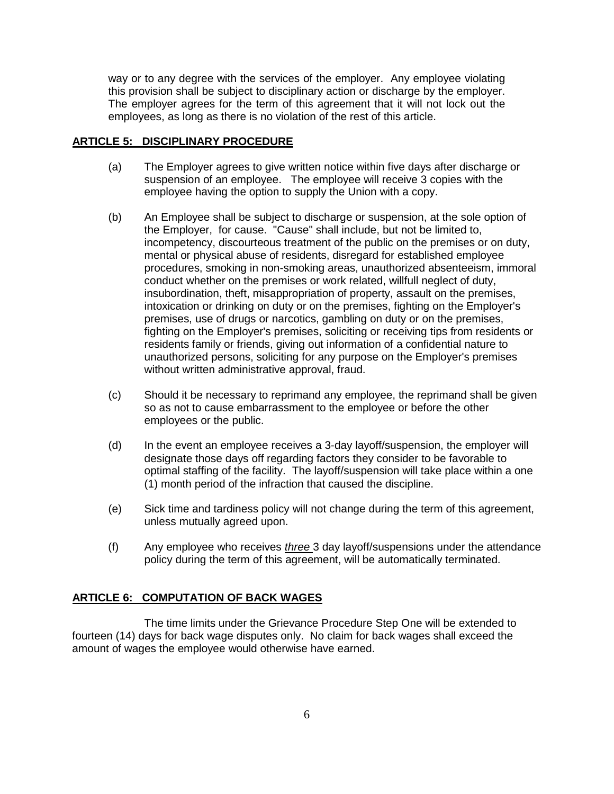way or to any degree with the services of the employer. Any employee violating this provision shall be subject to disciplinary action or discharge by the employer. The employer agrees for the term of this agreement that it will not lock out the employees, as long as there is no violation of the rest of this article.

#### **ARTICLE 5: DISCIPLINARY PROCEDURE**

- (a) The Employer agrees to give written notice within five days after discharge or suspension of an employee. The employee will receive 3 copies with the employee having the option to supply the Union with a copy.
- (b) An Employee shall be subject to discharge or suspension, at the sole option of the Employer, for cause. "Cause" shall include, but not be limited to, incompetency, discourteous treatment of the public on the premises or on duty, mental or physical abuse of residents, disregard for established employee procedures, smoking in non-smoking areas, unauthorized absenteeism, immoral conduct whether on the premises or work related, willfull neglect of duty, insubordination, theft, misappropriation of property, assault on the premises, intoxication or drinking on duty or on the premises, fighting on the Employer's premises, use of drugs or narcotics, gambling on duty or on the premises, fighting on the Employer's premises, soliciting or receiving tips from residents or residents family or friends, giving out information of a confidential nature to unauthorized persons, soliciting for any purpose on the Employer's premises without written administrative approval, fraud.
- (c) Should it be necessary to reprimand any employee, the reprimand shall be given so as not to cause embarrassment to the employee or before the other employees or the public.
- (d) In the event an employee receives a 3-day layoff/suspension, the employer will designate those days off regarding factors they consider to be favorable to optimal staffing of the facility. The layoff/suspension will take place within a one (1) month period of the infraction that caused the discipline.
- (e) Sick time and tardiness policy will not change during the term of this agreement, unless mutually agreed upon.
- (f) Any employee who receives *three* 3 day layoff/suspensions under the attendance policy during the term of this agreement, will be automatically terminated.

#### **ARTICLE 6: COMPUTATION OF BACK WAGES**

The time limits under the Grievance Procedure Step One will be extended to fourteen (14) days for back wage disputes only. No claim for back wages shall exceed the amount of wages the employee would otherwise have earned.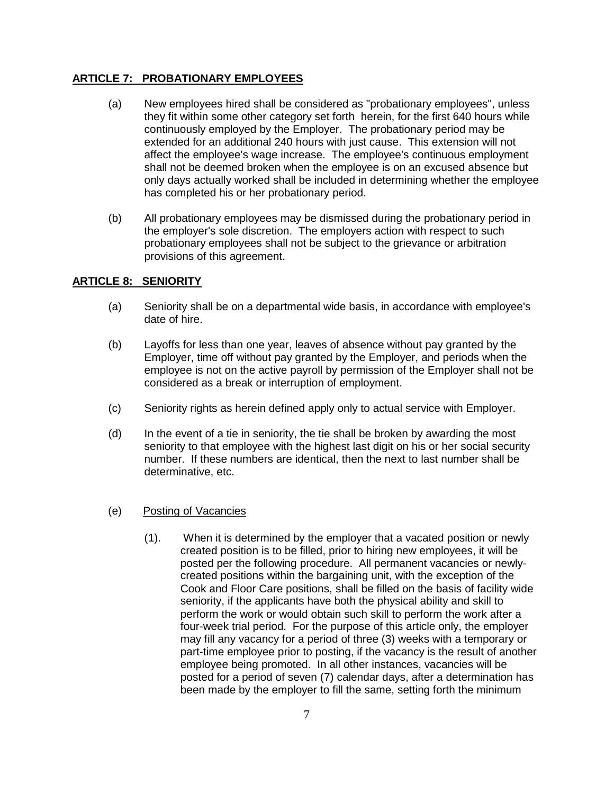# **ARTICLE 7: PROBATIONARY EMPLOYEES**

- (a) New employees hired shall be considered as "probationary employees", unless they fit within some other category set forth herein, for the first 640 hours while continuously employed by the Employer. The probationary period may be extended for an additional 240 hours with just cause. This extension will not affect the employee's wage increase. The employee's continuous employment shall not be deemed broken when the employee is on an excused absence but only days actually worked shall be included in determining whether the employee has completed his or her probationary period.
- (b) All probationary employees may be dismissed during the probationary period in the employer's sole discretion. The employers action with respect to such probationary employees shall not be subject to the grievance or arbitration provisions of this agreement.

## **ARTICLE 8: SENIORITY**

- (a) Seniority shall be on a departmental wide basis, in accordance with employee's date of hire.
- (b) Layoffs for less than one year, leaves of absence without pay granted by the Employer, time off without pay granted by the Employer, and periods when the employee is not on the active payroll by permission of the Employer shall not be considered as a break or interruption of employment.
- (c) Seniority rights as herein defined apply only to actual service with Employer.
- (d) In the event of a tie in seniority, the tie shall be broken by awarding the most seniority to that employee with the highest last digit on his or her social security number. If these numbers are identical, then the next to last number shall be determinative, etc.
- (e) Posting of Vacancies
	- (1). When it is determined by the employer that a vacated position or newly created position is to be filled, prior to hiring new employees, it will be posted per the following procedure. All permanent vacancies or newlycreated positions within the bargaining unit, with the exception of the Cook and Floor Care positions, shall be filled on the basis of facility wide seniority, if the applicants have both the physical ability and skill to perform the work or would obtain such skill to perform the work after a four-week trial period. For the purpose of this article only, the employer may fill any vacancy for a period of three (3) weeks with a temporary or part-time employee prior to posting, if the vacancy is the result of another employee being promoted. In all other instances, vacancies will be posted for a period of seven (7) calendar days, after a determination has been made by the employer to fill the same, setting forth the minimum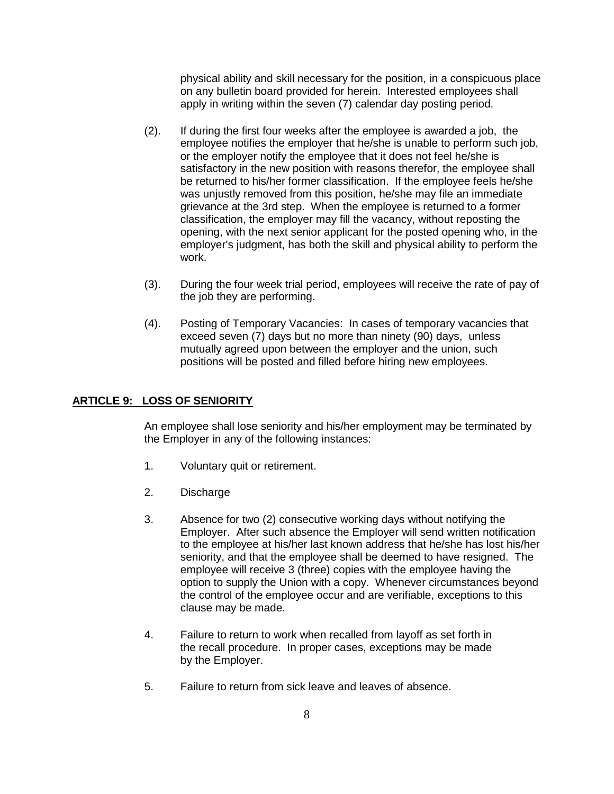physical ability and skill necessary for the position, in a conspicuous place on any bulletin board provided for herein. Interested employees shall apply in writing within the seven (7) calendar day posting period.

- (2). If during the first four weeks after the employee is awarded a job, the employee notifies the employer that he/she is unable to perform such job, or the employer notify the employee that it does not feel he/she is satisfactory in the new position with reasons therefor, the employee shall be returned to his/her former classification. If the employee feels he/she was unjustly removed from this position, he/she may file an immediate grievance at the 3rd step. When the employee is returned to a former classification, the employer may fill the vacancy, without reposting the opening, with the next senior applicant for the posted opening who, in the employer's judgment, has both the skill and physical ability to perform the work.
- (3). During the four week trial period, employees will receive the rate of pay of the job they are performing.
- (4). Posting of Temporary Vacancies: In cases of temporary vacancies that exceed seven (7) days but no more than ninety (90) days, unless mutually agreed upon between the employer and the union, such positions will be posted and filled before hiring new employees.

# **ARTICLE 9: LOSS OF SENIORITY**

An employee shall lose seniority and his/her employment may be terminated by the Employer in any of the following instances:

- 1. Voluntary quit or retirement.
- 2. Discharge
- 3. Absence for two (2) consecutive working days without notifying the Employer. After such absence the Employer will send written notification to the employee at his/her last known address that he/she has lost his/her seniority, and that the employee shall be deemed to have resigned. The employee will receive 3 (three) copies with the employee having the option to supply the Union with a copy. Whenever circumstances beyond the control of the employee occur and are verifiable, exceptions to this clause may be made.
- 4. Failure to return to work when recalled from layoff as set forth in the recall procedure. In proper cases, exceptions may be made by the Employer.
- 5. Failure to return from sick leave and leaves of absence.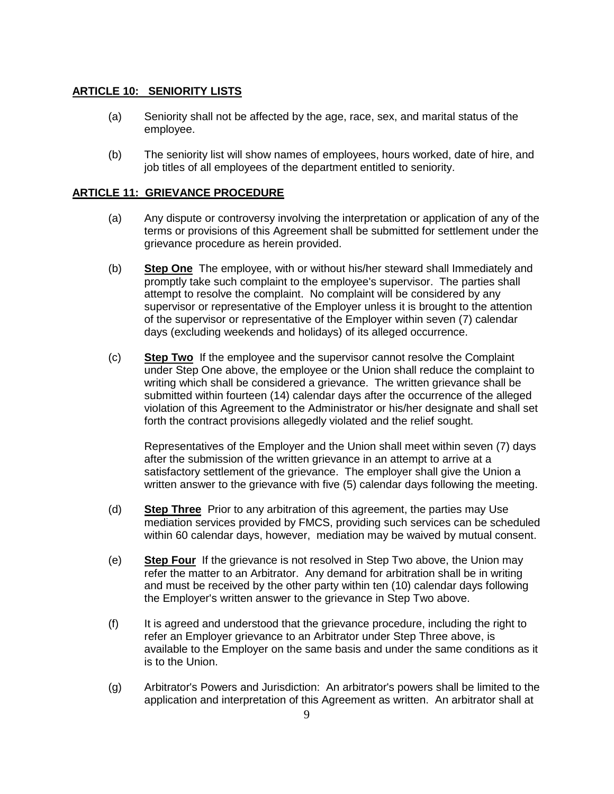#### **ARTICLE 10: SENIORITY LISTS**

- (a) Seniority shall not be affected by the age, race, sex, and marital status of the employee.
- (b) The seniority list will show names of employees, hours worked, date of hire, and job titles of all employees of the department entitled to seniority.

#### **ARTICLE 11: GRIEVANCE PROCEDURE**

- (a) Any dispute or controversy involving the interpretation or application of any of the terms or provisions of this Agreement shall be submitted for settlement under the grievance procedure as herein provided.
- (b) **Step One** The employee, with or without his/her steward shall Immediately and promptly take such complaint to the employee's supervisor. The parties shall attempt to resolve the complaint. No complaint will be considered by any supervisor or representative of the Employer unless it is brought to the attention of the supervisor or representative of the Employer within seven (7) calendar days (excluding weekends and holidays) of its alleged occurrence.
- (c) **Step Two** If the employee and the supervisor cannot resolve the Complaint under Step One above, the employee or the Union shall reduce the complaint to writing which shall be considered a grievance. The written grievance shall be submitted within fourteen (14) calendar days after the occurrence of the alleged violation of this Agreement to the Administrator or his/her designate and shall set forth the contract provisions allegedly violated and the relief sought.

Representatives of the Employer and the Union shall meet within seven (7) days after the submission of the written grievance in an attempt to arrive at a satisfactory settlement of the grievance. The employer shall give the Union a written answer to the grievance with five (5) calendar days following the meeting.

- (d) **Step Three** Prior to any arbitration of this agreement, the parties may Use mediation services provided by FMCS, providing such services can be scheduled within 60 calendar days, however, mediation may be waived by mutual consent.
- (e) **Step Four** If the grievance is not resolved in Step Two above, the Union may refer the matter to an Arbitrator. Any demand for arbitration shall be in writing and must be received by the other party within ten (10) calendar days following the Employer's written answer to the grievance in Step Two above.
- (f) It is agreed and understood that the grievance procedure, including the right to refer an Employer grievance to an Arbitrator under Step Three above, is available to the Employer on the same basis and under the same conditions as it is to the Union.
- (g) Arbitrator's Powers and Jurisdiction: An arbitrator's powers shall be limited to the application and interpretation of this Agreement as written. An arbitrator shall at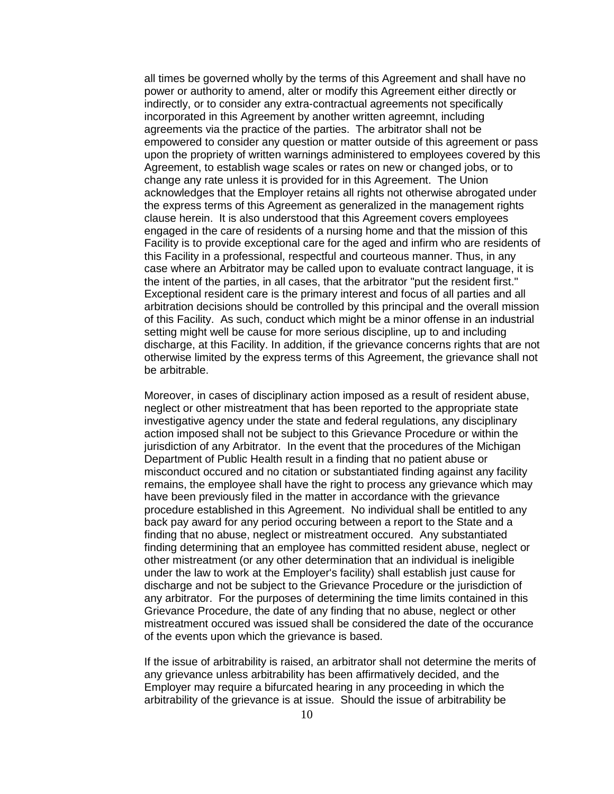all times be governed wholly by the terms of this Agreement and shall have no power or authority to amend, alter or modify this Agreement either directly or indirectly, or to consider any extra-contractual agreements not specifically incorporated in this Agreement by another written agreemnt, including agreements via the practice of the parties. The arbitrator shall not be empowered to consider any question or matter outside of this agreement or pass upon the propriety of written warnings administered to employees covered by this Agreement, to establish wage scales or rates on new or changed jobs, or to change any rate unless it is provided for in this Agreement. The Union acknowledges that the Employer retains all rights not otherwise abrogated under the express terms of this Agreement as generalized in the management rights clause herein. It is also understood that this Agreement covers employees engaged in the care of residents of a nursing home and that the mission of this Facility is to provide exceptional care for the aged and infirm who are residents of this Facility in a professional, respectful and courteous manner. Thus, in any case where an Arbitrator may be called upon to evaluate contract language, it is the intent of the parties, in all cases, that the arbitrator "put the resident first." Exceptional resident care is the primary interest and focus of all parties and all arbitration decisions should be controlled by this principal and the overall mission of this Facility. As such, conduct which might be a minor offense in an industrial setting might well be cause for more serious discipline, up to and including discharge, at this Facility. In addition, if the grievance concerns rights that are not otherwise limited by the express terms of this Agreement, the grievance shall not be arbitrable.

Moreover, in cases of disciplinary action imposed as a result of resident abuse, neglect or other mistreatment that has been reported to the appropriate state investigative agency under the state and federal regulations, any disciplinary action imposed shall not be subject to this Grievance Procedure or within the jurisdiction of any Arbitrator. In the event that the procedures of the Michigan Department of Public Health result in a finding that no patient abuse or misconduct occured and no citation or substantiated finding against any facility remains, the employee shall have the right to process any grievance which may have been previously filed in the matter in accordance with the grievance procedure established in this Agreement. No individual shall be entitled to any back pay award for any period occuring between a report to the State and a finding that no abuse, neglect or mistreatment occured. Any substantiated finding determining that an employee has committed resident abuse, neglect or other mistreatment (or any other determination that an individual is ineligible under the law to work at the Employer's facility) shall establish just cause for discharge and not be subject to the Grievance Procedure or the jurisdiction of any arbitrator. For the purposes of determining the time limits contained in this Grievance Procedure, the date of any finding that no abuse, neglect or other mistreatment occured was issued shall be considered the date of the occurance of the events upon which the grievance is based.

If the issue of arbitrability is raised, an arbitrator shall not determine the merits of any grievance unless arbitrability has been affirmatively decided, and the Employer may require a bifurcated hearing in any proceeding in which the arbitrability of the grievance is at issue. Should the issue of arbitrability be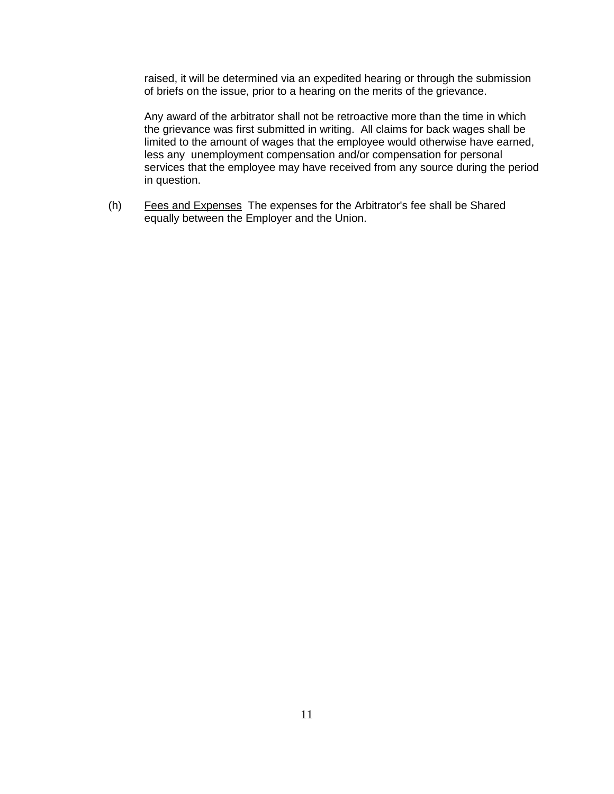raised, it will be determined via an expedited hearing or through the submission of briefs on the issue, prior to a hearing on the merits of the grievance.

Any award of the arbitrator shall not be retroactive more than the time in which the grievance was first submitted in writing. All claims for back wages shall be limited to the amount of wages that the employee would otherwise have earned, less any unemployment compensation and/or compensation for personal services that the employee may have received from any source during the period in question.

(h) Fees and Expenses The expenses for the Arbitrator's fee shall be Shared equally between the Employer and the Union.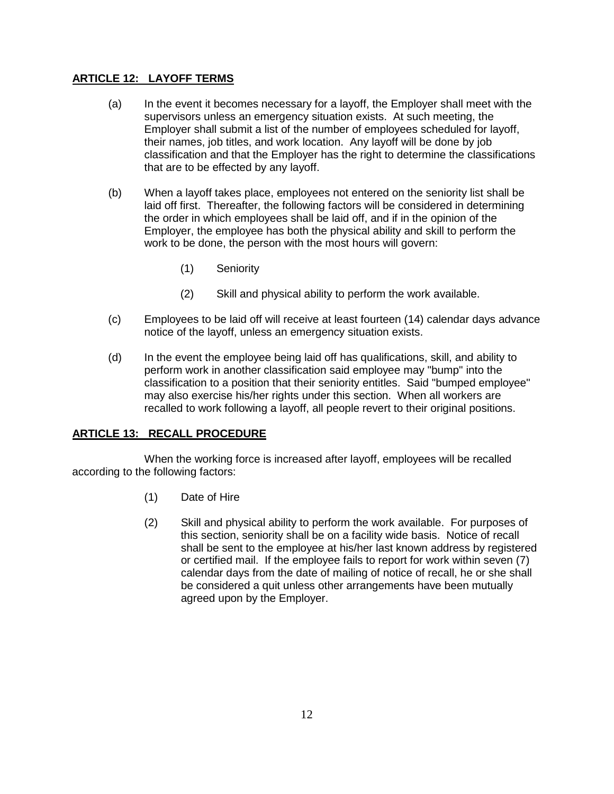# **ARTICLE 12: LAYOFF TERMS**

- (a) In the event it becomes necessary for a layoff, the Employer shall meet with the supervisors unless an emergency situation exists. At such meeting, the Employer shall submit a list of the number of employees scheduled for layoff, their names, job titles, and work location. Any layoff will be done by job classification and that the Employer has the right to determine the classifications that are to be effected by any layoff.
- (b) When a layoff takes place, employees not entered on the seniority list shall be laid off first. Thereafter, the following factors will be considered in determining the order in which employees shall be laid off, and if in the opinion of the Employer, the employee has both the physical ability and skill to perform the work to be done, the person with the most hours will govern:
	- (1) Seniority
	- (2) Skill and physical ability to perform the work available.
- (c) Employees to be laid off will receive at least fourteen (14) calendar days advance notice of the layoff, unless an emergency situation exists.
- (d) In the event the employee being laid off has qualifications, skill, and ability to perform work in another classification said employee may "bump" into the classification to a position that their seniority entitles. Said "bumped employee" may also exercise his/her rights under this section. When all workers are recalled to work following a layoff, all people revert to their original positions.

# **ARTICLE 13: RECALL PROCEDURE**

When the working force is increased after layoff, employees will be recalled according to the following factors:

- (1) Date of Hire
- (2) Skill and physical ability to perform the work available. For purposes of this section, seniority shall be on a facility wide basis. Notice of recall shall be sent to the employee at his/her last known address by registered or certified mail. If the employee fails to report for work within seven (7) calendar days from the date of mailing of notice of recall, he or she shall be considered a quit unless other arrangements have been mutually agreed upon by the Employer.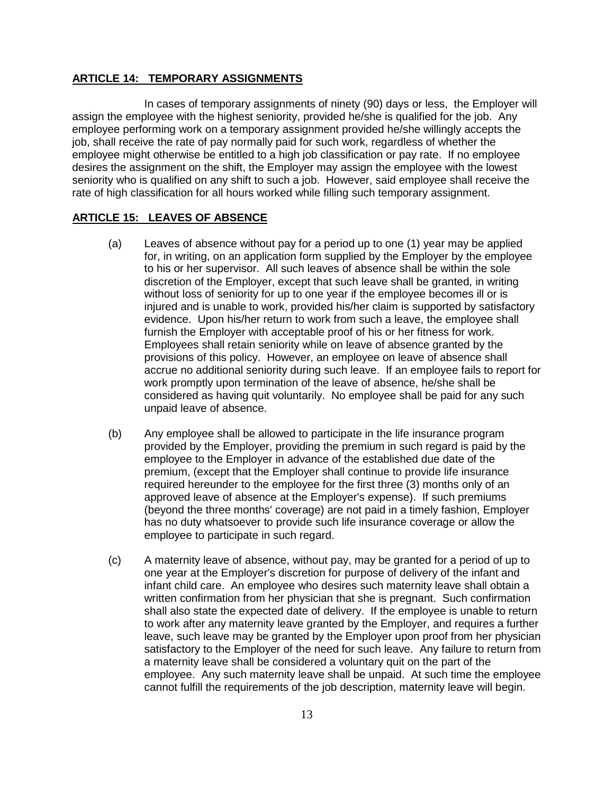### **ARTICLE 14: TEMPORARY ASSIGNMENTS**

In cases of temporary assignments of ninety (90) days or less, the Employer will assign the employee with the highest seniority, provided he/she is qualified for the job. Any employee performing work on a temporary assignment provided he/she willingly accepts the job, shall receive the rate of pay normally paid for such work, regardless of whether the employee might otherwise be entitled to a high job classification or pay rate. If no employee desires the assignment on the shift, the Employer may assign the employee with the lowest seniority who is qualified on any shift to such a job. However, said employee shall receive the rate of high classification for all hours worked while filling such temporary assignment.

#### **ARTICLE 15: LEAVES OF ABSENCE**

- (a) Leaves of absence without pay for a period up to one (1) year may be applied for, in writing, on an application form supplied by the Employer by the employee to his or her supervisor. All such leaves of absence shall be within the sole discretion of the Employer, except that such leave shall be granted, in writing without loss of seniority for up to one year if the employee becomes ill or is injured and is unable to work, provided his/her claim is supported by satisfactory evidence. Upon his/her return to work from such a leave, the employee shall furnish the Employer with acceptable proof of his or her fitness for work. Employees shall retain seniority while on leave of absence granted by the provisions of this policy. However, an employee on leave of absence shall accrue no additional seniority during such leave. If an employee fails to report for work promptly upon termination of the leave of absence, he/she shall be considered as having quit voluntarily. No employee shall be paid for any such unpaid leave of absence.
- (b) Any employee shall be allowed to participate in the life insurance program provided by the Employer, providing the premium in such regard is paid by the employee to the Employer in advance of the established due date of the premium, (except that the Employer shall continue to provide life insurance required hereunder to the employee for the first three (3) months only of an approved leave of absence at the Employer's expense). If such premiums (beyond the three months' coverage) are not paid in a timely fashion, Employer has no duty whatsoever to provide such life insurance coverage or allow the employee to participate in such regard.
- (c) A maternity leave of absence, without pay, may be granted for a period of up to one year at the Employer's discretion for purpose of delivery of the infant and infant child care. An employee who desires such maternity leave shall obtain a written confirmation from her physician that she is pregnant. Such confirmation shall also state the expected date of delivery. If the employee is unable to return to work after any maternity leave granted by the Employer, and requires a further leave, such leave may be granted by the Employer upon proof from her physician satisfactory to the Employer of the need for such leave. Any failure to return from a maternity leave shall be considered a voluntary quit on the part of the employee. Any such maternity leave shall be unpaid. At such time the employee cannot fulfill the requirements of the job description, maternity leave will begin.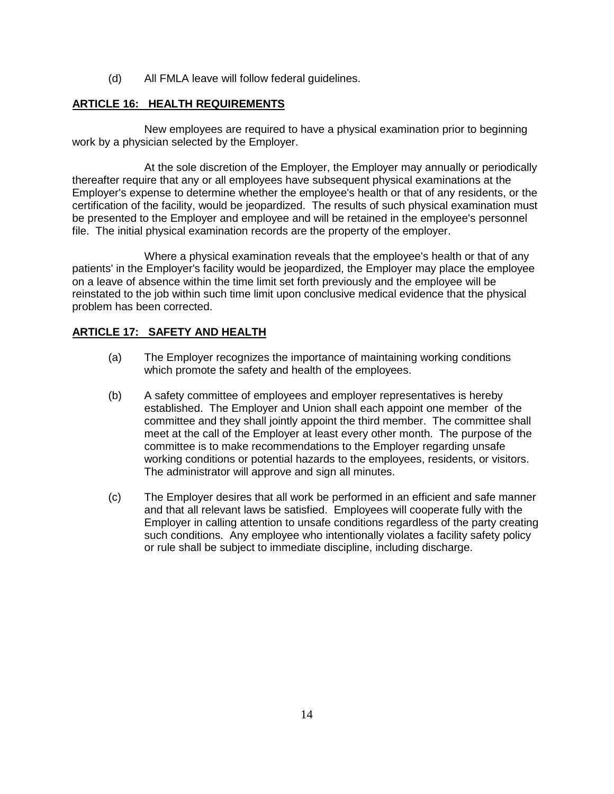(d) All FMLA leave will follow federal guidelines.

# **ARTICLE 16: HEALTH REQUIREMENTS**

New employees are required to have a physical examination prior to beginning work by a physician selected by the Employer.

At the sole discretion of the Employer, the Employer may annually or periodically thereafter require that any or all employees have subsequent physical examinations at the Employer's expense to determine whether the employee's health or that of any residents, or the certification of the facility, would be jeopardized. The results of such physical examination must be presented to the Employer and employee and will be retained in the employee's personnel file. The initial physical examination records are the property of the employer.

Where a physical examination reveals that the employee's health or that of any patients' in the Employer's facility would be jeopardized, the Employer may place the employee on a leave of absence within the time limit set forth previously and the employee will be reinstated to the job within such time limit upon conclusive medical evidence that the physical problem has been corrected.

# **ARTICLE 17: SAFETY AND HEALTH**

- (a) The Employer recognizes the importance of maintaining working conditions which promote the safety and health of the employees.
- (b) A safety committee of employees and employer representatives is hereby established. The Employer and Union shall each appoint one member of the committee and they shall jointly appoint the third member. The committee shall meet at the call of the Employer at least every other month. The purpose of the committee is to make recommendations to the Employer regarding unsafe working conditions or potential hazards to the employees, residents, or visitors. The administrator will approve and sign all minutes.
- (c) The Employer desires that all work be performed in an efficient and safe manner and that all relevant laws be satisfied. Employees will cooperate fully with the Employer in calling attention to unsafe conditions regardless of the party creating such conditions. Any employee who intentionally violates a facility safety policy or rule shall be subject to immediate discipline, including discharge.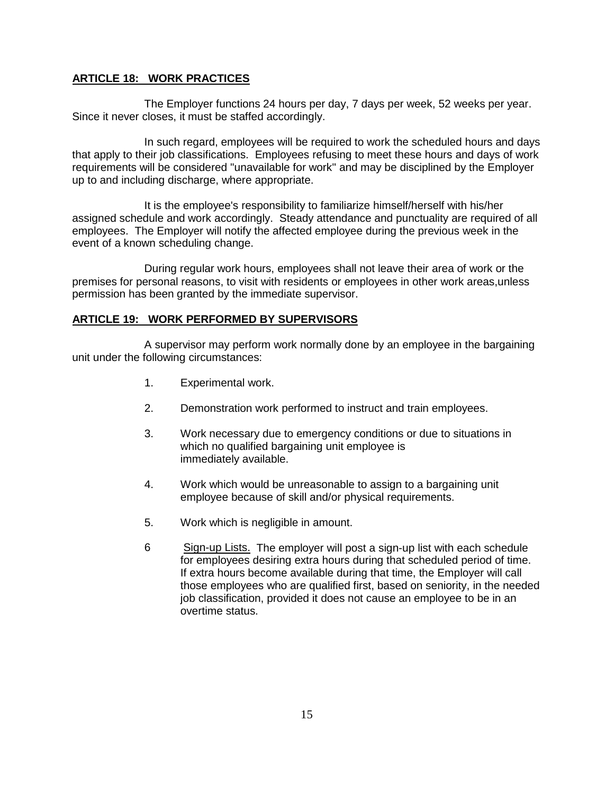## **ARTICLE 18: WORK PRACTICES**

The Employer functions 24 hours per day, 7 days per week, 52 weeks per year. Since it never closes, it must be staffed accordingly.

In such regard, employees will be required to work the scheduled hours and days that apply to their job classifications. Employees refusing to meet these hours and days of work requirements will be considered "unavailable for work" and may be disciplined by the Employer up to and including discharge, where appropriate.

It is the employee's responsibility to familiarize himself/herself with his/her assigned schedule and work accordingly. Steady attendance and punctuality are required of all employees. The Employer will notify the affected employee during the previous week in the event of a known scheduling change.

During regular work hours, employees shall not leave their area of work or the premises for personal reasons, to visit with residents or employees in other work areas,unless permission has been granted by the immediate supervisor.

## **ARTICLE 19: WORK PERFORMED BY SUPERVISORS**

A supervisor may perform work normally done by an employee in the bargaining unit under the following circumstances:

- 1. Experimental work.
- 2. Demonstration work performed to instruct and train employees.
- 3. Work necessary due to emergency conditions or due to situations in which no qualified bargaining unit employee is immediately available.
- 4. Work which would be unreasonable to assign to a bargaining unit employee because of skill and/or physical requirements.
- 5. Work which is negligible in amount.
- 6 Sign-up Lists. The employer will post a sign-up list with each schedule for employees desiring extra hours during that scheduled period of time. If extra hours become available during that time, the Employer will call those employees who are qualified first, based on seniority, in the needed job classification, provided it does not cause an employee to be in an overtime status.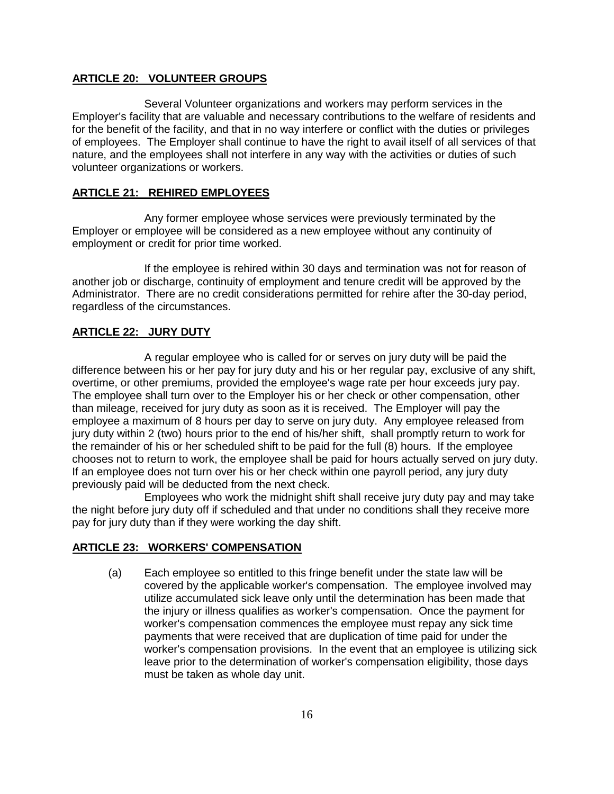## **ARTICLE 20: VOLUNTEER GROUPS**

Several Volunteer organizations and workers may perform services in the Employer's facility that are valuable and necessary contributions to the welfare of residents and for the benefit of the facility, and that in no way interfere or conflict with the duties or privileges of employees. The Employer shall continue to have the right to avail itself of all services of that nature, and the employees shall not interfere in any way with the activities or duties of such volunteer organizations or workers.

## **ARTICLE 21: REHIRED EMPLOYEES**

Any former employee whose services were previously terminated by the Employer or employee will be considered as a new employee without any continuity of employment or credit for prior time worked.

If the employee is rehired within 30 days and termination was not for reason of another job or discharge, continuity of employment and tenure credit will be approved by the Administrator. There are no credit considerations permitted for rehire after the 30-day period, regardless of the circumstances.

## **ARTICLE 22: JURY DUTY**

A regular employee who is called for or serves on jury duty will be paid the difference between his or her pay for jury duty and his or her regular pay, exclusive of any shift, overtime, or other premiums, provided the employee's wage rate per hour exceeds jury pay. The employee shall turn over to the Employer his or her check or other compensation, other than mileage, received for jury duty as soon as it is received. The Employer will pay the employee a maximum of 8 hours per day to serve on jury duty. Any employee released from jury duty within 2 (two) hours prior to the end of his/her shift, shall promptly return to work for the remainder of his or her scheduled shift to be paid for the full (8) hours. If the employee chooses not to return to work, the employee shall be paid for hours actually served on jury duty. If an employee does not turn over his or her check within one payroll period, any jury duty previously paid will be deducted from the next check.

Employees who work the midnight shift shall receive jury duty pay and may take the night before jury duty off if scheduled and that under no conditions shall they receive more pay for jury duty than if they were working the day shift.

### **ARTICLE 23: WORKERS' COMPENSATION**

(a) Each employee so entitled to this fringe benefit under the state law will be covered by the applicable worker's compensation. The employee involved may utilize accumulated sick leave only until the determination has been made that the injury or illness qualifies as worker's compensation. Once the payment for worker's compensation commences the employee must repay any sick time payments that were received that are duplication of time paid for under the worker's compensation provisions. In the event that an employee is utilizing sick leave prior to the determination of worker's compensation eligibility, those days must be taken as whole day unit.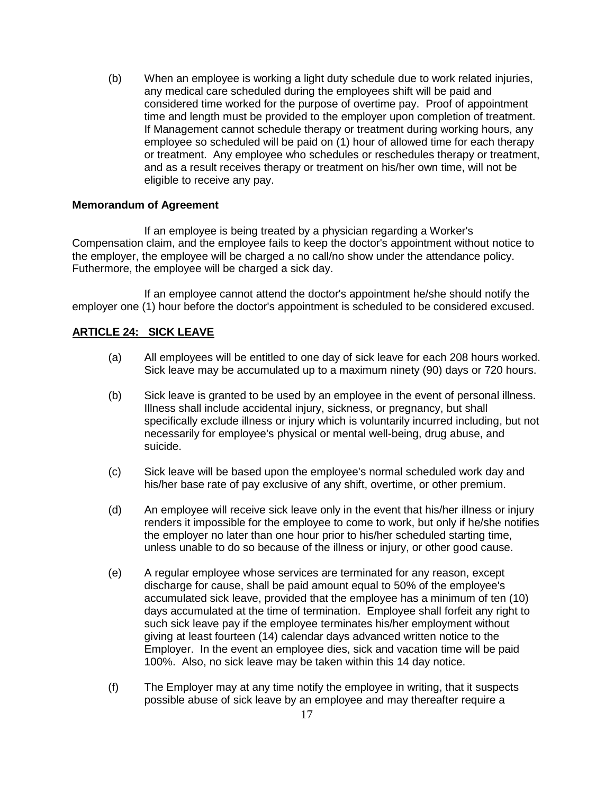(b) When an employee is working a light duty schedule due to work related injuries, any medical care scheduled during the employees shift will be paid and considered time worked for the purpose of overtime pay. Proof of appointment time and length must be provided to the employer upon completion of treatment. If Management cannot schedule therapy or treatment during working hours, any employee so scheduled will be paid on (1) hour of allowed time for each therapy or treatment. Any employee who schedules or reschedules therapy or treatment, and as a result receives therapy or treatment on his/her own time, will not be eligible to receive any pay.

#### **Memorandum of Agreement**

If an employee is being treated by a physician regarding a Worker's Compensation claim, and the employee fails to keep the doctor's appointment without notice to the employer, the employee will be charged a no call/no show under the attendance policy. Futhermore, the employee will be charged a sick day.

If an employee cannot attend the doctor's appointment he/she should notify the employer one (1) hour before the doctor's appointment is scheduled to be considered excused.

### **ARTICLE 24: SICK LEAVE**

- (a) All employees will be entitled to one day of sick leave for each 208 hours worked. Sick leave may be accumulated up to a maximum ninety (90) days or 720 hours.
- (b) Sick leave is granted to be used by an employee in the event of personal illness. Illness shall include accidental injury, sickness, or pregnancy, but shall specifically exclude illness or injury which is voluntarily incurred including, but not necessarily for employee's physical or mental well-being, drug abuse, and suicide.
- (c) Sick leave will be based upon the employee's normal scheduled work day and his/her base rate of pay exclusive of any shift, overtime, or other premium.
- (d) An employee will receive sick leave only in the event that his/her illness or injury renders it impossible for the employee to come to work, but only if he/she notifies the employer no later than one hour prior to his/her scheduled starting time, unless unable to do so because of the illness or injury, or other good cause.
- (e) A regular employee whose services are terminated for any reason, except discharge for cause, shall be paid amount equal to 50% of the employee's accumulated sick leave, provided that the employee has a minimum of ten (10) days accumulated at the time of termination. Employee shall forfeit any right to such sick leave pay if the employee terminates his/her employment without giving at least fourteen (14) calendar days advanced written notice to the Employer. In the event an employee dies, sick and vacation time will be paid 100%. Also, no sick leave may be taken within this 14 day notice.
- (f) The Employer may at any time notify the employee in writing, that it suspects possible abuse of sick leave by an employee and may thereafter require a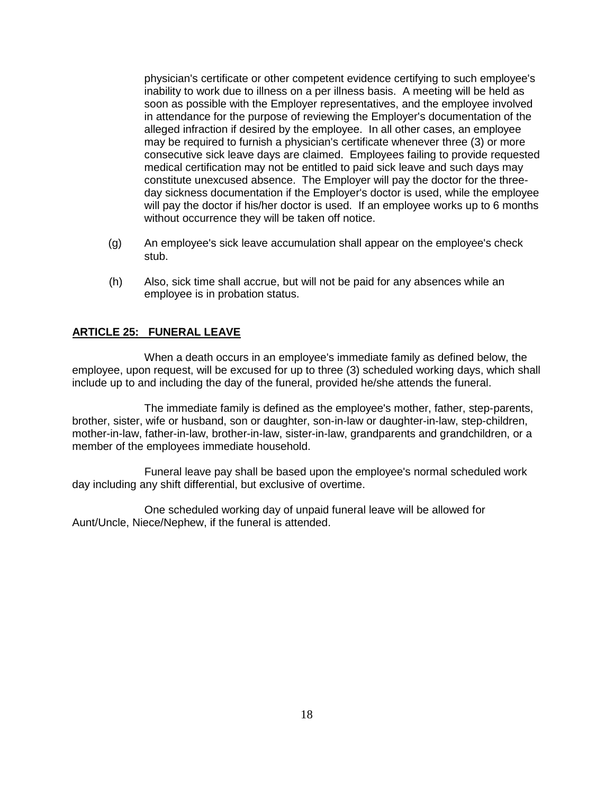physician's certificate or other competent evidence certifying to such employee's inability to work due to illness on a per illness basis. A meeting will be held as soon as possible with the Employer representatives, and the employee involved in attendance for the purpose of reviewing the Employer's documentation of the alleged infraction if desired by the employee. In all other cases, an employee may be required to furnish a physician's certificate whenever three (3) or more consecutive sick leave days are claimed. Employees failing to provide requested medical certification may not be entitled to paid sick leave and such days may constitute unexcused absence. The Employer will pay the doctor for the threeday sickness documentation if the Employer's doctor is used, while the employee will pay the doctor if his/her doctor is used. If an employee works up to 6 months without occurrence they will be taken off notice.

- (g) An employee's sick leave accumulation shall appear on the employee's check stub.
- (h) Also, sick time shall accrue, but will not be paid for any absences while an employee is in probation status.

### **ARTICLE 25: FUNERAL LEAVE**

When a death occurs in an employee's immediate family as defined below, the employee, upon request, will be excused for up to three (3) scheduled working days, which shall include up to and including the day of the funeral, provided he/she attends the funeral.

The immediate family is defined as the employee's mother, father, step-parents, brother, sister, wife or husband, son or daughter, son-in-law or daughter-in-law, step-children, mother-in-law, father-in-law, brother-in-law, sister-in-law, grandparents and grandchildren, or a member of the employees immediate household.

Funeral leave pay shall be based upon the employee's normal scheduled work day including any shift differential, but exclusive of overtime.

One scheduled working day of unpaid funeral leave will be allowed for Aunt/Uncle, Niece/Nephew, if the funeral is attended.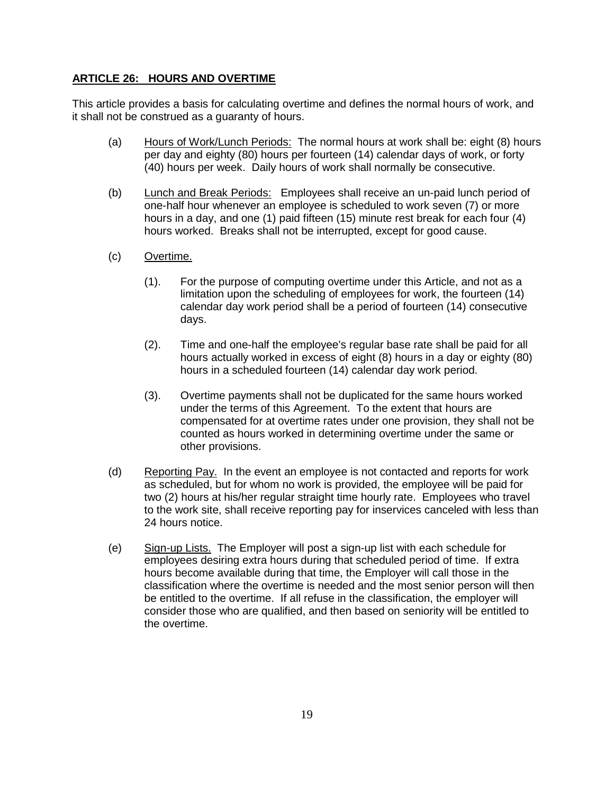## **ARTICLE 26: HOURS AND OVERTIME**

This article provides a basis for calculating overtime and defines the normal hours of work, and it shall not be construed as a guaranty of hours.

- (a) Hours of Work/Lunch Periods: The normal hours at work shall be: eight (8) hours per day and eighty (80) hours per fourteen (14) calendar days of work, or forty (40) hours per week. Daily hours of work shall normally be consecutive.
- (b) Lunch and Break Periods: Employees shall receive an un-paid lunch period of one-half hour whenever an employee is scheduled to work seven (7) or more hours in a day, and one (1) paid fifteen (15) minute rest break for each four (4) hours worked. Breaks shall not be interrupted, except for good cause.
- (c) Overtime.
	- (1). For the purpose of computing overtime under this Article, and not as a limitation upon the scheduling of employees for work, the fourteen (14) calendar day work period shall be a period of fourteen (14) consecutive days.
	- (2). Time and one-half the employee's regular base rate shall be paid for all hours actually worked in excess of eight (8) hours in a day or eighty (80) hours in a scheduled fourteen (14) calendar day work period.
	- (3). Overtime payments shall not be duplicated for the same hours worked under the terms of this Agreement. To the extent that hours are compensated for at overtime rates under one provision, they shall not be counted as hours worked in determining overtime under the same or other provisions.
- (d) Reporting Pay. In the event an employee is not contacted and reports for work as scheduled, but for whom no work is provided, the employee will be paid for two (2) hours at his/her regular straight time hourly rate. Employees who travel to the work site, shall receive reporting pay for inservices canceled with less than 24 hours notice.
- (e) Sign-up Lists. The Employer will post a sign-up list with each schedule for employees desiring extra hours during that scheduled period of time. If extra hours become available during that time, the Employer will call those in the classification where the overtime is needed and the most senior person will then be entitled to the overtime. If all refuse in the classification, the employer will consider those who are qualified, and then based on seniority will be entitled to the overtime.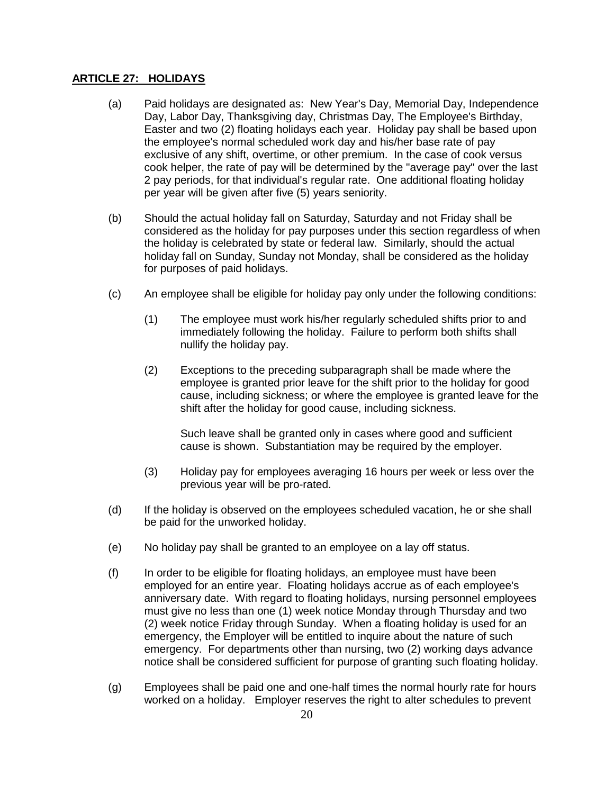### **ARTICLE 27: HOLIDAYS**

- (a) Paid holidays are designated as: New Year's Day, Memorial Day, Independence Day, Labor Day, Thanksgiving day, Christmas Day, The Employee's Birthday, Easter and two (2) floating holidays each year. Holiday pay shall be based upon the employee's normal scheduled work day and his/her base rate of pay exclusive of any shift, overtime, or other premium. In the case of cook versus cook helper, the rate of pay will be determined by the "average pay" over the last 2 pay periods, for that individual's regular rate. One additional floating holiday per year will be given after five (5) years seniority.
- (b) Should the actual holiday fall on Saturday, Saturday and not Friday shall be considered as the holiday for pay purposes under this section regardless of when the holiday is celebrated by state or federal law. Similarly, should the actual holiday fall on Sunday, Sunday not Monday, shall be considered as the holiday for purposes of paid holidays.
- (c) An employee shall be eligible for holiday pay only under the following conditions:
	- (1) The employee must work his/her regularly scheduled shifts prior to and immediately following the holiday. Failure to perform both shifts shall nullify the holiday pay.
	- (2) Exceptions to the preceding subparagraph shall be made where the employee is granted prior leave for the shift prior to the holiday for good cause, including sickness; or where the employee is granted leave for the shift after the holiday for good cause, including sickness.

Such leave shall be granted only in cases where good and sufficient cause is shown. Substantiation may be required by the employer.

- (3) Holiday pay for employees averaging 16 hours per week or less over the previous year will be pro-rated.
- (d) If the holiday is observed on the employees scheduled vacation, he or she shall be paid for the unworked holiday.
- (e) No holiday pay shall be granted to an employee on a lay off status.
- (f) In order to be eligible for floating holidays, an employee must have been employed for an entire year. Floating holidays accrue as of each employee's anniversary date. With regard to floating holidays, nursing personnel employees must give no less than one (1) week notice Monday through Thursday and two (2) week notice Friday through Sunday. When a floating holiday is used for an emergency, the Employer will be entitled to inquire about the nature of such emergency. For departments other than nursing, two (2) working days advance notice shall be considered sufficient for purpose of granting such floating holiday.
- (g) Employees shall be paid one and one-half times the normal hourly rate for hours worked on a holiday. Employer reserves the right to alter schedules to prevent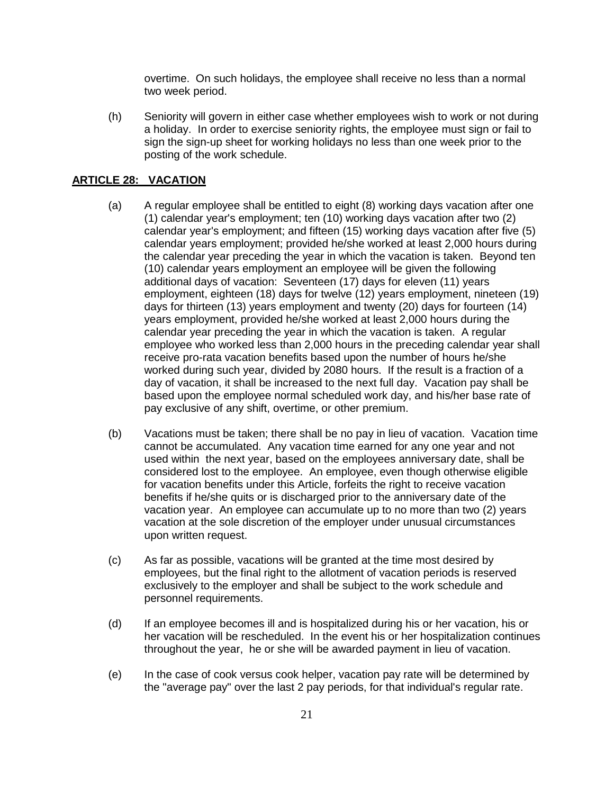overtime. On such holidays, the employee shall receive no less than a normal two week period.

(h) Seniority will govern in either case whether employees wish to work or not during a holiday. In order to exercise seniority rights, the employee must sign or fail to sign the sign-up sheet for working holidays no less than one week prior to the posting of the work schedule.

# **ARTICLE 28: VACATION**

- (a) A regular employee shall be entitled to eight (8) working days vacation after one (1) calendar year's employment; ten (10) working days vacation after two (2) calendar year's employment; and fifteen (15) working days vacation after five (5) calendar years employment; provided he/she worked at least 2,000 hours during the calendar year preceding the year in which the vacation is taken. Beyond ten (10) calendar years employment an employee will be given the following additional days of vacation: Seventeen (17) days for eleven (11) years employment, eighteen (18) days for twelve (12) years employment, nineteen (19) days for thirteen (13) years employment and twenty (20) days for fourteen (14) years employment, provided he/she worked at least 2,000 hours during the calendar year preceding the year in which the vacation is taken. A regular employee who worked less than 2,000 hours in the preceding calendar year shall receive pro-rata vacation benefits based upon the number of hours he/she worked during such year, divided by 2080 hours. If the result is a fraction of a day of vacation, it shall be increased to the next full day. Vacation pay shall be based upon the employee normal scheduled work day, and his/her base rate of pay exclusive of any shift, overtime, or other premium.
- (b) Vacations must be taken; there shall be no pay in lieu of vacation. Vacation time cannot be accumulated. Any vacation time earned for any one year and not used within the next year, based on the employees anniversary date, shall be considered lost to the employee. An employee, even though otherwise eligible for vacation benefits under this Article, forfeits the right to receive vacation benefits if he/she quits or is discharged prior to the anniversary date of the vacation year. An employee can accumulate up to no more than two (2) years vacation at the sole discretion of the employer under unusual circumstances upon written request.
- (c) As far as possible, vacations will be granted at the time most desired by employees, but the final right to the allotment of vacation periods is reserved exclusively to the employer and shall be subject to the work schedule and personnel requirements.
- (d) If an employee becomes ill and is hospitalized during his or her vacation, his or her vacation will be rescheduled. In the event his or her hospitalization continues throughout the year, he or she will be awarded payment in lieu of vacation.
- (e) In the case of cook versus cook helper, vacation pay rate will be determined by the "average pay" over the last 2 pay periods, for that individual's regular rate.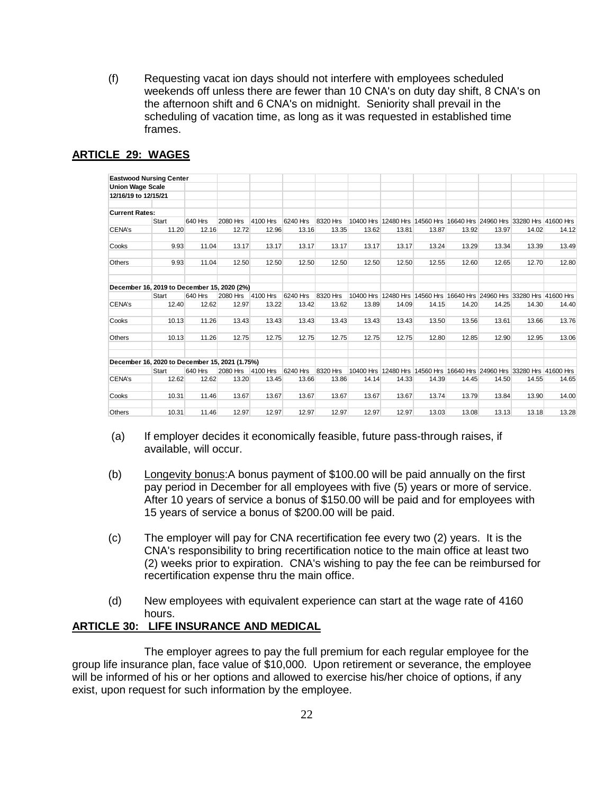(f) Requesting vacat ion days should not interfere with employees scheduled weekends off unless there are fewer than 10 CNA's on duty day shift, 8 CNA's on the afternoon shift and 6 CNA's on midnight. Seniority shall prevail in the scheduling of vacation time, as long as it was requested in established time frames.

|                         | <b>Eastwood Nursing Center</b>                 |                  |                   |                   |                   |                   |       |       |       |       |       |                                                                                |       |
|-------------------------|------------------------------------------------|------------------|-------------------|-------------------|-------------------|-------------------|-------|-------|-------|-------|-------|--------------------------------------------------------------------------------|-------|
| <b>Union Wage Scale</b> |                                                |                  |                   |                   |                   |                   |       |       |       |       |       |                                                                                |       |
| 12/16/19 to 12/15/21    |                                                |                  |                   |                   |                   |                   |       |       |       |       |       |                                                                                |       |
| <b>Current Rates:</b>   |                                                |                  |                   |                   |                   |                   |       |       |       |       |       |                                                                                |       |
|                         | <b>Start</b>                                   | 640 Hrs          | 2080 Hrs          | 4100 Hrs          | 6240 Hrs          | 8320 Hrs          |       |       |       |       |       | 10400 Hrs 12480 Hrs 14560 Hrs 16640 Hrs 24960 Hrs 33280 Hrs 41600 Hrs          |       |
| CENA's                  | 11.20                                          | 12.16            | 12.72             | 12.96             | 13.16             | 13.35             | 13.62 | 13.81 | 13.87 | 13.92 | 13.97 | 14.02                                                                          | 14.12 |
| Cooks                   | 9.93                                           | 11.04            | 13.17             | 13.17             | 13.17             | 13.17             | 13.17 | 13.17 | 13.24 | 13.29 | 13.34 | 13.39                                                                          | 13.49 |
| Others                  | 9.93                                           | 11.04            | 12.50             | 12.50             | 12.50             | 12.50             | 12.50 | 12.50 | 12.55 | 12.60 | 12.65 | 12.70                                                                          | 12.80 |
|                         | December 16, 2019 to December 15, 2020 (2%)    |                  |                   |                   |                   |                   |       |       |       |       |       |                                                                                |       |
| CENA's                  | <b>Start</b><br>12.40                          | 640 Hrs<br>12.62 | 2080 Hrs<br>12.97 | 4100 Hrs<br>13.22 | 6240 Hrs<br>13.42 | 8320 Hrs<br>13.62 | 13.89 | 14.09 | 14.15 | 14.20 | 14.25 | 10400 Hrs 12480 Hrs 14560 Hrs 16640 Hrs 24960 Hrs 33280 Hrs 41600 Hrs<br>14.30 | 14.40 |
|                         |                                                |                  |                   |                   |                   |                   |       |       |       |       |       |                                                                                |       |
| Cooks                   | 10.13                                          | 11.26            | 13.43             | 13.43             | 13.43             | 13.43             | 13.43 | 13.43 | 13.50 | 13.56 | 13.61 | 13.66                                                                          | 13.76 |
| Others                  | 10.13                                          | 11.26            | 12.75             | 12.75             | 12.75             | 12.75             | 12.75 | 12.75 | 12.80 | 12.85 | 12.90 | 12.95                                                                          | 13.06 |
|                         | December 16, 2020 to December 15, 2021 (1.75%) |                  |                   |                   |                   |                   |       |       |       |       |       |                                                                                |       |
|                         | Start                                          | 640 Hrs          | 2080 Hrs          | 4100 Hrs          | 6240 Hrs          | 8320 Hrs          |       |       |       |       |       | 10400 Hrs 12480 Hrs 14560 Hrs 16640 Hrs 24960 Hrs 33280 Hrs 41600 Hrs          |       |
| CENA's                  | 12.62                                          | 12.62            | 13.20             | 13.45             | 13.66             | 13.86             | 14.14 | 14.33 | 14.39 | 14.45 | 14.50 | 14.55                                                                          | 14.65 |
| Cooks                   | 10.31                                          | 11.46            | 13.67             | 13.67             | 13.67             | 13.67             | 13.67 | 13.67 | 13.74 | 13.79 | 13.84 | 13.90                                                                          | 14.00 |
| Others                  | 10.31                                          | 11.46            | 12.97             | 12.97             | 12.97             | 12.97             | 12.97 | 12.97 | 13.03 | 13.08 | 13.13 | 13.18                                                                          | 13.28 |

## **ARTICLE 29: WAGES**

- (a) If employer decides it economically feasible, future pass-through raises, if available, will occur.
- (b) Longevity bonus:A bonus payment of \$100.00 will be paid annually on the first pay period in December for all employees with five (5) years or more of service. After 10 years of service a bonus of \$150.00 will be paid and for employees with 15 years of service a bonus of \$200.00 will be paid.
- (c) The employer will pay for CNA recertification fee every two (2) years. It is the CNA's responsibility to bring recertification notice to the main office at least two (2) weeks prior to expiration. CNA's wishing to pay the fee can be reimbursed for recertification expense thru the main office.
- (d) New employees with equivalent experience can start at the wage rate of 4160 hours.

### **ARTICLE 30: LIFE INSURANCE AND MEDICAL**

The employer agrees to pay the full premium for each regular employee for the group life insurance plan, face value of \$10,000. Upon retirement or severance, the employee will be informed of his or her options and allowed to exercise his/her choice of options, if any exist, upon request for such information by the employee.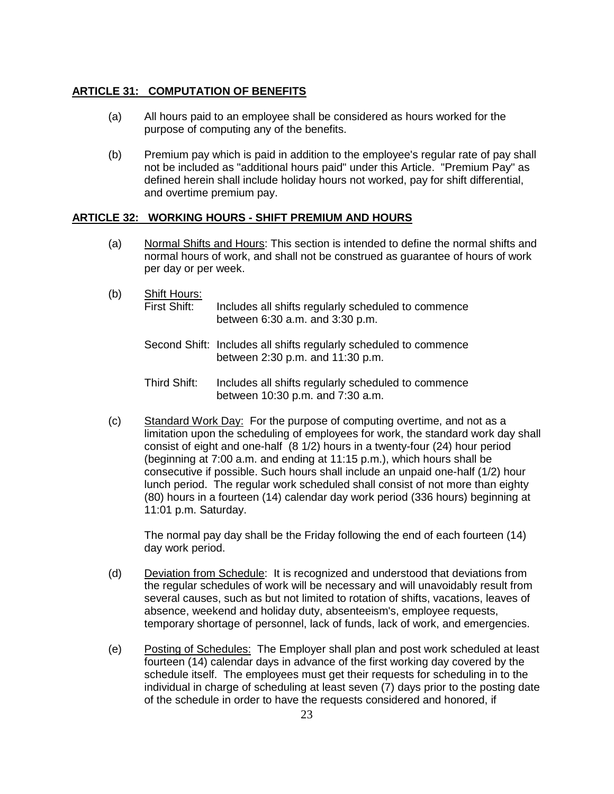# **ARTICLE 31: COMPUTATION OF BENEFITS**

- (a) All hours paid to an employee shall be considered as hours worked for the purpose of computing any of the benefits.
- (b) Premium pay which is paid in addition to the employee's regular rate of pay shall not be included as "additional hours paid" under this Article. "Premium Pay" as defined herein shall include holiday hours not worked, pay for shift differential, and overtime premium pay.

# **ARTICLE 32: WORKING HOURS - SHIFT PREMIUM AND HOURS**

- (a) Normal Shifts and Hours: This section is intended to define the normal shifts and normal hours of work, and shall not be construed as guarantee of hours of work per day or per week.
- (b) Shift Hours:<br>First Shift: Includes all shifts regularly scheduled to commence between 6:30 a.m. and 3:30 p.m.
	- Second Shift: Includes all shifts regularly scheduled to commence between 2:30 p.m. and 11:30 p.m.
	- Third Shift: Includes all shifts regularly scheduled to commence between 10:30 p.m. and 7:30 a.m.
- (c) Standard Work Day: For the purpose of computing overtime, and not as a limitation upon the scheduling of employees for work, the standard work day shall consist of eight and one-half (8 1/2) hours in a twenty-four (24) hour period (beginning at 7:00 a.m. and ending at 11:15 p.m.), which hours shall be consecutive if possible. Such hours shall include an unpaid one-half (1/2) hour lunch period. The regular work scheduled shall consist of not more than eighty (80) hours in a fourteen (14) calendar day work period (336 hours) beginning at 11:01 p.m. Saturday.

The normal pay day shall be the Friday following the end of each fourteen (14) day work period.

- (d) Deviation from Schedule: It is recognized and understood that deviations from the regular schedules of work will be necessary and will unavoidably result from several causes, such as but not limited to rotation of shifts, vacations, leaves of absence, weekend and holiday duty, absenteeism's, employee requests, temporary shortage of personnel, lack of funds, lack of work, and emergencies.
- (e) Posting of Schedules: The Employer shall plan and post work scheduled at least fourteen (14) calendar days in advance of the first working day covered by the schedule itself. The employees must get their requests for scheduling in to the individual in charge of scheduling at least seven (7) days prior to the posting date of the schedule in order to have the requests considered and honored, if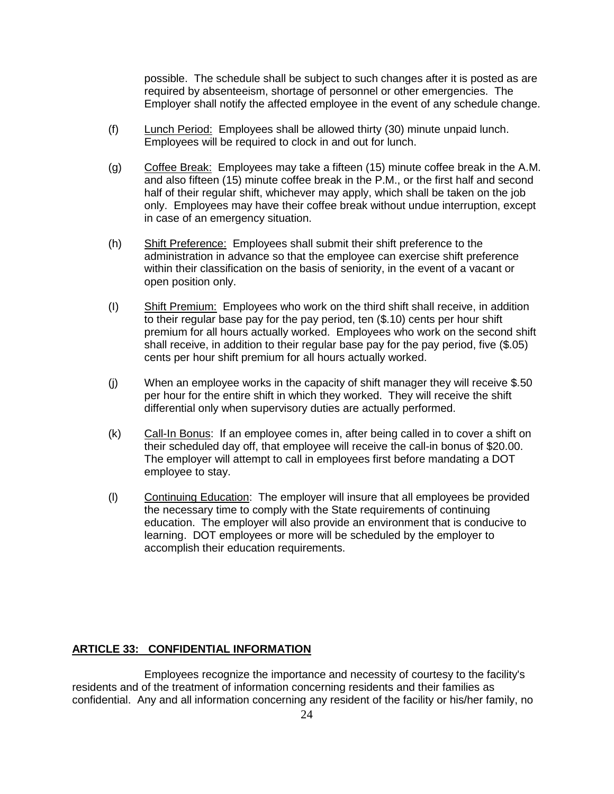possible. The schedule shall be subject to such changes after it is posted as are required by absenteeism, shortage of personnel or other emergencies. The Employer shall notify the affected employee in the event of any schedule change.

- (f) Lunch Period: Employees shall be allowed thirty (30) minute unpaid lunch. Employees will be required to clock in and out for lunch.
- (g) Coffee Break: Employees may take a fifteen (15) minute coffee break in the A.M. and also fifteen (15) minute coffee break in the P.M., or the first half and second half of their regular shift, whichever may apply, which shall be taken on the job only. Employees may have their coffee break without undue interruption, except in case of an emergency situation.
- (h) Shift Preference: Employees shall submit their shift preference to the administration in advance so that the employee can exercise shift preference within their classification on the basis of seniority, in the event of a vacant or open position only.
- (I) Shift Premium: Employees who work on the third shift shall receive, in addition to their regular base pay for the pay period, ten (\$.10) cents per hour shift premium for all hours actually worked. Employees who work on the second shift shall receive, in addition to their regular base pay for the pay period, five (\$.05) cents per hour shift premium for all hours actually worked.
- (j) When an employee works in the capacity of shift manager they will receive \$.50 per hour for the entire shift in which they worked. They will receive the shift differential only when supervisory duties are actually performed.
- (k) Call-In Bonus: If an employee comes in, after being called in to cover a shift on their scheduled day off, that employee will receive the call-in bonus of \$20.00. The employer will attempt to call in employees first before mandating a DOT employee to stay.
- (l) Continuing Education: The employer will insure that all employees be provided the necessary time to comply with the State requirements of continuing education. The employer will also provide an environment that is conducive to learning. DOT employees or more will be scheduled by the employer to accomplish their education requirements.

# **ARTICLE 33: CONFIDENTIAL INFORMATION**

Employees recognize the importance and necessity of courtesy to the facility's residents and of the treatment of information concerning residents and their families as confidential. Any and all information concerning any resident of the facility or his/her family, no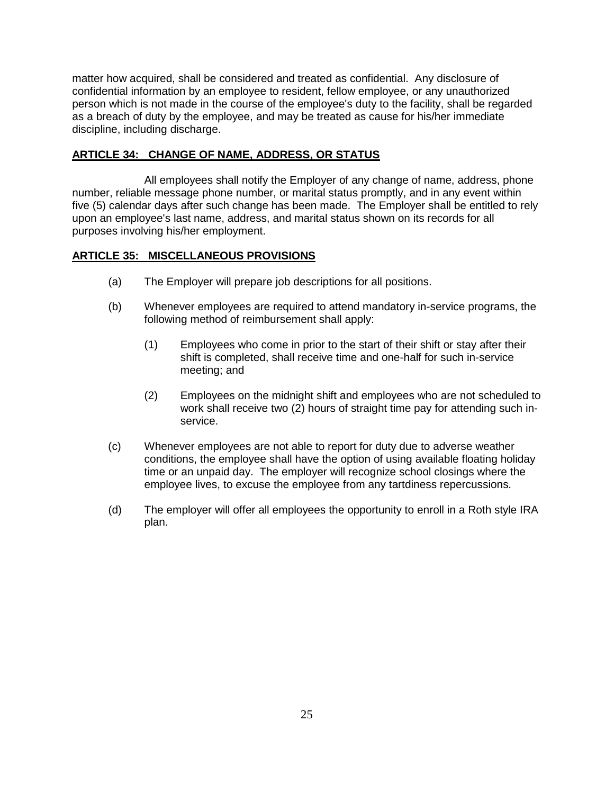matter how acquired, shall be considered and treated as confidential. Any disclosure of confidential information by an employee to resident, fellow employee, or any unauthorized person which is not made in the course of the employee's duty to the facility, shall be regarded as a breach of duty by the employee, and may be treated as cause for his/her immediate discipline, including discharge.

## **ARTICLE 34: CHANGE OF NAME, ADDRESS, OR STATUS**

All employees shall notify the Employer of any change of name, address, phone number, reliable message phone number, or marital status promptly, and in any event within five (5) calendar days after such change has been made. The Employer shall be entitled to rely upon an employee's last name, address, and marital status shown on its records for all purposes involving his/her employment.

## **ARTICLE 35: MISCELLANEOUS PROVISIONS**

- (a) The Employer will prepare job descriptions for all positions.
- (b) Whenever employees are required to attend mandatory in-service programs, the following method of reimbursement shall apply:
	- (1) Employees who come in prior to the start of their shift or stay after their shift is completed, shall receive time and one-half for such in-service meeting; and
	- (2) Employees on the midnight shift and employees who are not scheduled to work shall receive two (2) hours of straight time pay for attending such inservice.
- (c) Whenever employees are not able to report for duty due to adverse weather conditions, the employee shall have the option of using available floating holiday time or an unpaid day. The employer will recognize school closings where the employee lives, to excuse the employee from any tartdiness repercussions.
- (d) The employer will offer all employees the opportunity to enroll in a Roth style IRA plan.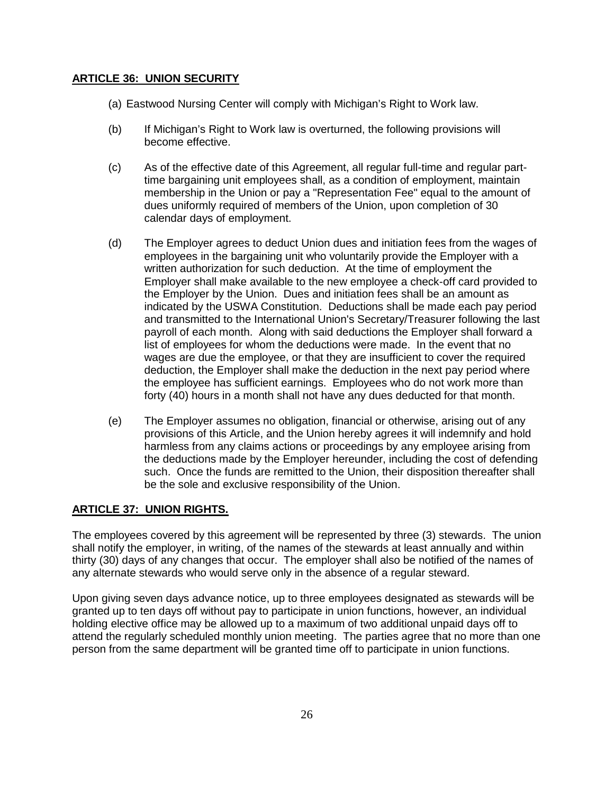# **ARTICLE 36: UNION SECURITY**

- (a) Eastwood Nursing Center will comply with Michigan's Right to Work law.
- (b) If Michigan's Right to Work law is overturned, the following provisions will become effective.
- (c) As of the effective date of this Agreement, all regular full-time and regular parttime bargaining unit employees shall, as a condition of employment, maintain membership in the Union or pay a "Representation Fee" equal to the amount of dues uniformly required of members of the Union, upon completion of 30 calendar days of employment.
- (d) The Employer agrees to deduct Union dues and initiation fees from the wages of employees in the bargaining unit who voluntarily provide the Employer with a written authorization for such deduction. At the time of employment the Employer shall make available to the new employee a check-off card provided to the Employer by the Union. Dues and initiation fees shall be an amount as indicated by the USWA Constitution. Deductions shall be made each pay period and transmitted to the International Union's Secretary/Treasurer following the last payroll of each month. Along with said deductions the Employer shall forward a list of employees for whom the deductions were made. In the event that no wages are due the employee, or that they are insufficient to cover the required deduction, the Employer shall make the deduction in the next pay period where the employee has sufficient earnings. Employees who do not work more than forty (40) hours in a month shall not have any dues deducted for that month.
- (e) The Employer assumes no obligation, financial or otherwise, arising out of any provisions of this Article, and the Union hereby agrees it will indemnify and hold harmless from any claims actions or proceedings by any employee arising from the deductions made by the Employer hereunder, including the cost of defending such. Once the funds are remitted to the Union, their disposition thereafter shall be the sole and exclusive responsibility of the Union.

# **ARTICLE 37: UNION RIGHTS.**

The employees covered by this agreement will be represented by three (3) stewards. The union shall notify the employer, in writing, of the names of the stewards at least annually and within thirty (30) days of any changes that occur. The employer shall also be notified of the names of any alternate stewards who would serve only in the absence of a regular steward.

Upon giving seven days advance notice, up to three employees designated as stewards will be granted up to ten days off without pay to participate in union functions, however, an individual holding elective office may be allowed up to a maximum of two additional unpaid days off to attend the regularly scheduled monthly union meeting. The parties agree that no more than one person from the same department will be granted time off to participate in union functions.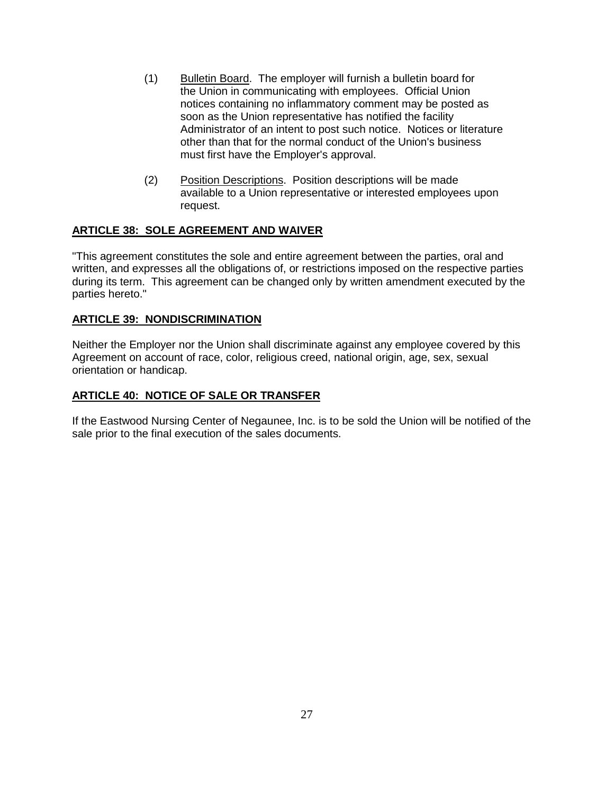- (1) Bulletin Board. The employer will furnish a bulletin board for the Union in communicating with employees. Official Union notices containing no inflammatory comment may be posted as soon as the Union representative has notified the facility Administrator of an intent to post such notice. Notices or literature other than that for the normal conduct of the Union's business must first have the Employer's approval.
- (2) Position Descriptions. Position descriptions will be made available to a Union representative or interested employees upon request.

# **ARTICLE 38: SOLE AGREEMENT AND WAIVER**

"This agreement constitutes the sole and entire agreement between the parties, oral and written, and expresses all the obligations of, or restrictions imposed on the respective parties during its term. This agreement can be changed only by written amendment executed by the parties hereto."

# **ARTICLE 39: NONDISCRIMINATION**

Neither the Employer nor the Union shall discriminate against any employee covered by this Agreement on account of race, color, religious creed, national origin, age, sex, sexual orientation or handicap.

# **ARTICLE 40: NOTICE OF SALE OR TRANSFER**

If the Eastwood Nursing Center of Negaunee, Inc. is to be sold the Union will be notified of the sale prior to the final execution of the sales documents.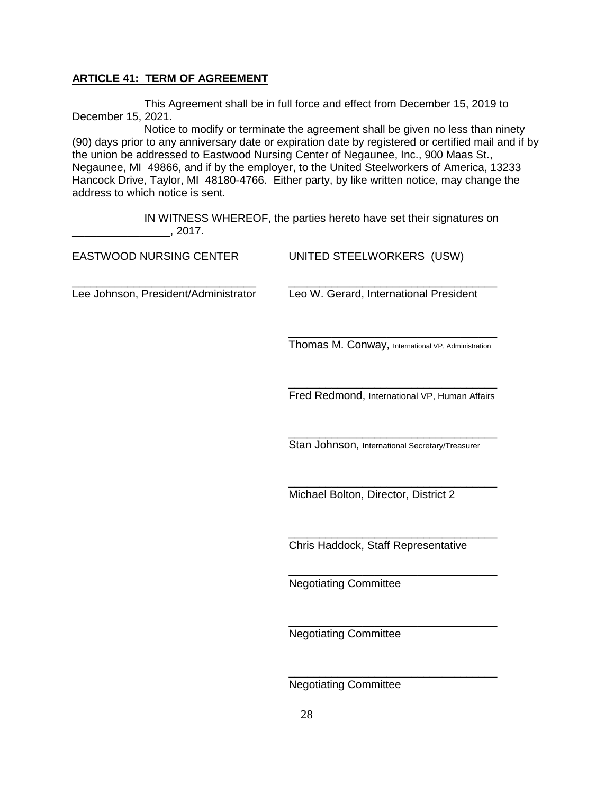## **ARTICLE 41: TERM OF AGREEMENT**

This Agreement shall be in full force and effect from December 15, 2019 to December 15, 2021.

Notice to modify or terminate the agreement shall be given no less than ninety (90) days prior to any anniversary date or expiration date by registered or certified mail and if by the union be addressed to Eastwood Nursing Center of Negaunee, Inc., 900 Maas St., Negaunee, MI 49866, and if by the employer, to the United Steelworkers of America, 13233 Hancock Drive, Taylor, MI 48180-4766. Either party, by like written notice, may change the address to which notice is sent.

IN WITNESS WHEREOF, the parties hereto have set their signatures on  $\frac{1}{2017}$ , 2017.

| <b>EASTWOOD NURSING CENTER</b>       | UNITED STEELWORKERS (USW)                          |  |  |  |  |  |
|--------------------------------------|----------------------------------------------------|--|--|--|--|--|
| Lee Johnson, President/Administrator | Leo W. Gerard, International President             |  |  |  |  |  |
|                                      | Thomas M. Conway, International VP, Administration |  |  |  |  |  |
|                                      | Fred Redmond, International VP, Human Affairs      |  |  |  |  |  |
|                                      | Stan Johnson, International Secretary/Treasurer    |  |  |  |  |  |
|                                      | Michael Bolton, Director, District 2               |  |  |  |  |  |
|                                      | Chris Haddock, Staff Representative                |  |  |  |  |  |
|                                      | <b>Negotiating Committee</b>                       |  |  |  |  |  |
|                                      | <b>Negotiating Committee</b>                       |  |  |  |  |  |
|                                      | <b>Negotiating Committee</b>                       |  |  |  |  |  |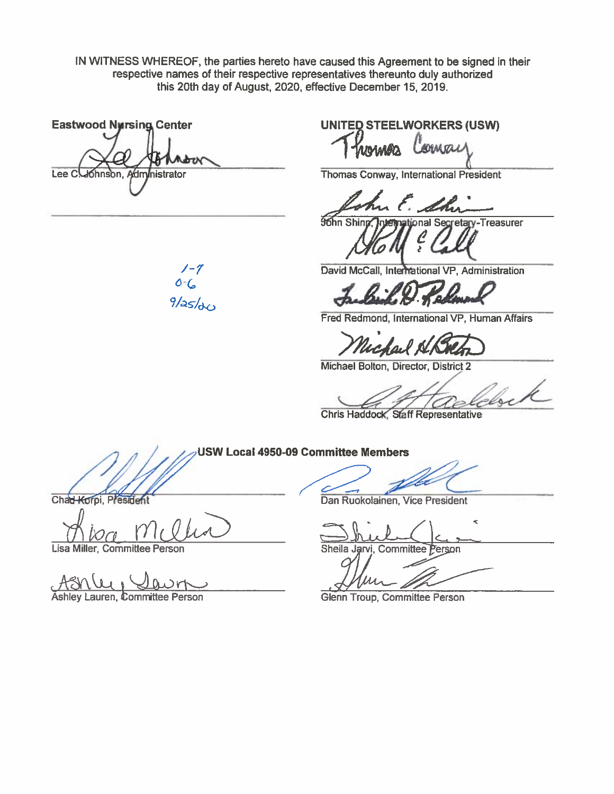IN WITNESS WHEREOF, the parties hereto have caused this Agreement to be signed in their respective names of their respective representatives thereunto duly authorized this 20th day of August, 2020, effective December 15, 2019.

**Eastwood Nursing Center** stor Lee C. Johnson, Administrator

**UNITED STEELWORKERS (USW)** 

coman

Thomas Conway, International President

Edhr

onal Secretary-Treasurer **John Shin** 

David McCall, International VP, Administration

**~A.~11.',f~R** 

Fred Redmond, International VP, Human Affairs

rchail A

Michael Bolton, Director, District 2

**Chris Haddock, Staff Representative** 

**USW Local 4950~9 Committee Members** 

Chad Korpi, President

*ditoa* 

Lisa Miller, Committee Person

Ashley Lauren, Committee Person

Dan Ruokolainen, Vice President

Sheila Jarvi, Committee Person

Glenn Troup, Committee Person

 $1 - 7$ *6 -C,*   $9/as/dc$